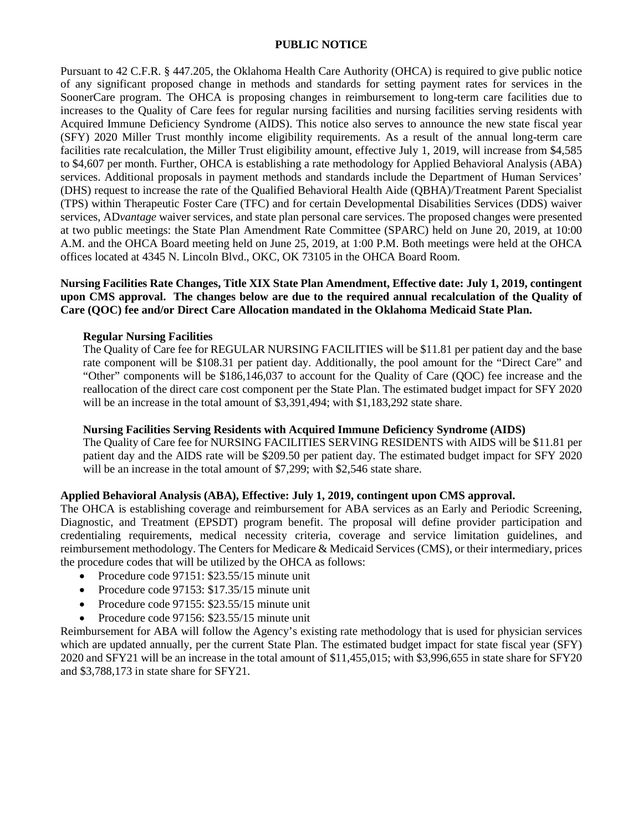#### **PUBLIC NOTICE**

Pursuant to 42 C.F.R. § 447.205, the Oklahoma Health Care Authority (OHCA) is required to give public notice of any significant proposed change in methods and standards for setting payment rates for services in the SoonerCare program. The OHCA is proposing changes in reimbursement to long-term care facilities due to increases to the Quality of Care fees for regular nursing facilities and nursing facilities serving residents with Acquired Immune Deficiency Syndrome (AIDS). This notice also serves to announce the new state fiscal year (SFY) 2020 Miller Trust monthly income eligibility requirements. As a result of the annual long-term care facilities rate recalculation, the Miller Trust eligibility amount, effective July 1, 2019, will increase from \$4,585 to \$4,607 per month. Further, OHCA is establishing a rate methodology for Applied Behavioral Analysis (ABA) services. Additional proposals in payment methods and standards include the Department of Human Services' (DHS) request to increase the rate of the Qualified Behavioral Health Aide (QBHA)/Treatment Parent Specialist (TPS) within Therapeutic Foster Care (TFC) and for certain Developmental Disabilities Services (DDS) waiver services, AD*vantage* waiver services, and state plan personal care services. The proposed changes were presented at two public meetings: the State Plan Amendment Rate Committee (SPARC) held on June 20, 2019, at 10:00 A.M. and the OHCA Board meeting held on June 25, 2019, at 1:00 P.M. Both meetings were held at the OHCA offices located at 4345 N. Lincoln Blvd., OKC, OK 73105 in the OHCA Board Room.

## **Nursing Facilities Rate Changes, Title XIX State Plan Amendment, Effective date: July 1, 2019, contingent upon CMS approval. The changes below are due to the required annual recalculation of the Quality of Care (QOC) fee and/or Direct Care Allocation mandated in the Oklahoma Medicaid State Plan.**

#### **Regular Nursing Facilities**

The Quality of Care fee for REGULAR NURSING FACILITIES will be \$11.81 per patient day and the base rate component will be \$108.31 per patient day. Additionally, the pool amount for the "Direct Care" and "Other" components will be \$186,146,037 to account for the Quality of Care (QOC) fee increase and the reallocation of the direct care cost component per the State Plan. The estimated budget impact for SFY 2020 will be an increase in the total amount of \$3,391,494; with \$1,183,292 state share.

## **Nursing Facilities Serving Residents with Acquired Immune Deficiency Syndrome (AIDS)**

The Quality of Care fee for NURSING FACILITIES SERVING RESIDENTS with AIDS will be \$11.81 per patient day and the AIDS rate will be \$209.50 per patient day. The estimated budget impact for SFY 2020 will be an increase in the total amount of \$7,299; with \$2,546 state share.

## **Applied Behavioral Analysis (ABA), Effective: July 1, 2019, contingent upon CMS approval.**

The OHCA is establishing coverage and reimbursement for ABA services as an Early and Periodic Screening, Diagnostic, and Treatment (EPSDT) program benefit. The proposal will define provider participation and credentialing requirements, medical necessity criteria, coverage and service limitation guidelines, and reimbursement methodology. The Centers for Medicare & Medicaid Services (CMS), or their intermediary, prices the procedure codes that will be utilized by the OHCA as follows:

- Procedure code 97151: \$23.55/15 minute unit
- Procedure code 97153: \$17.35/15 minute unit
- Procedure code 97155: \$23.55/15 minute unit
- Procedure code 97156: \$23.55/15 minute unit

Reimbursement for ABA will follow the Agency's existing rate methodology that is used for physician services which are updated annually, per the current State Plan. The estimated budget impact for state fiscal year (SFY) 2020 and SFY21 will be an increase in the total amount of \$11,455,015; with \$3,996,655 in state share for SFY20 and \$3,788,173 in state share for SFY21.